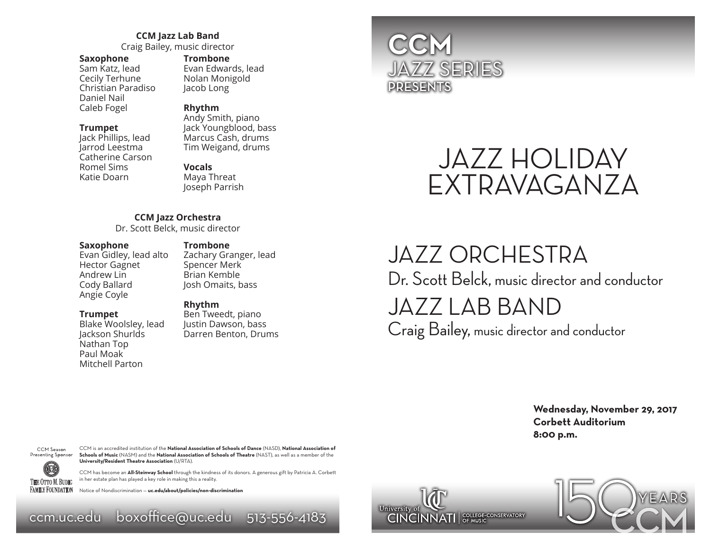#### **CCM Jazz Lab Band**

Craig Bailey, music director

#### **Saxophone**

Sam Katz, lead Cecily Terhune Christian Paradiso Daniel Nail Caleb Fogel

#### **Trumpet**

Jack Phillips, lead Jarrod Leestma Catherine Carson Romel Sims Katie Doarn

#### **Trombone**

Evan Edwards, lead Nolan Monigold Jacob Long

#### **Rhythm**

Andy Smith, piano Jack Youngblood, bass Marcus Cash, drums Tim Weigand, drums

#### **Vocals**

Maya Threat Joseph Parrish

#### **CCM Jazz Orchestra**

Dr. Scott Belck, music director

#### **Saxophone**

Evan Gidley, lead alto Hector Gagnet Andrew Lin Cody Ballard Angie Coyle

#### Spencer Merk Brian Kemble Josh Omaits, bass

**Trombone**

#### **Trumpet**

Blake Woolsley, lead Jackson Shurlds Nathan Top Paul Moak Mitchell Parton

**Rhythm** Ben Tweedt, piano Justin Dawson, bass Darren Benton, Drums

Zachary Granger, lead

### **CCM** JAZZ SERIES PRESENTS



## JAZZ ORCHESTRA

Dr. Scott Belck, music director and conductor

### JAZZ LAB BAND

Craig Bailey, music director and conductor

**Wednesday, November 29, 2017 Corbett Auditorium 8:00 p.m.**



CCM Season CCM is an accredited institution of the **National Association of Schools of Dance** (NASD), **National Association of Schools of Music** (NASM) and the **National Association of Schools of Theatre** (NAST), as well as a member of the **University/Resident Theatre Association** (U/RTA).

> CCM has become an **All-Steinway School** through the kindness of its donors. A generous gift by Patricia A. Corbett in her estate plan has played a key role in making this a reality.

Notice of Nondiscrimination — **uc.edu/about/policies/non-discrimination**